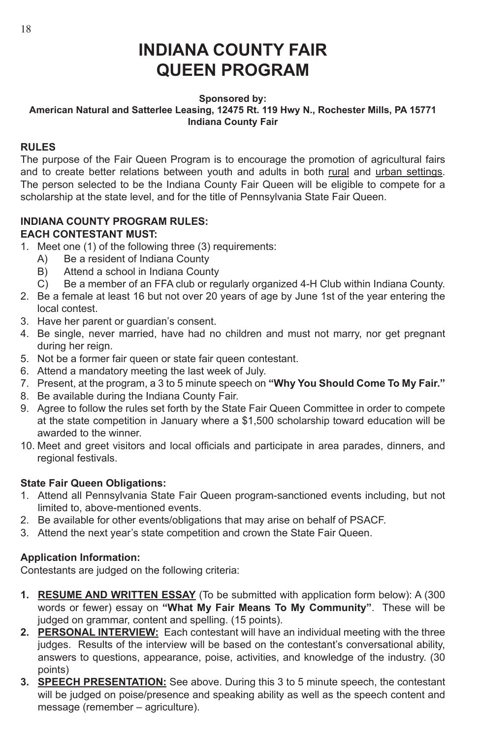# **INDIANA COUNTY FAIR QUEEN PROGRAM**

#### **Sponsored by: American Natural and Satterlee Leasing, 12475 Rt. 119 Hwy N., Rochester Mills, PA 15771 Indiana County Fair**

## **RULES**

The purpose of the Fair Queen Program is to encourage the promotion of agricultural fairs and to create better relations between youth and adults in both rural and urban settings. The person selected to be the Indiana County Fair Queen will be eligible to compete for a scholarship at the state level, and for the title of Pennsylvania State Fair Queen.

## **INDIANA COUNTY PROGRAM RULES: EACH CONTESTANT MUST:**

- 1. Meet one (1) of the following three (3) requirements:
	- A) Be a resident of Indiana County
	- B) Attend a school in Indiana County
	- C) Be a member of an FFA club or regularly organized 4-H Club within Indiana County.
- 2. Be a female at least 16 but not over 20 years of age by June 1st of the year entering the local contest.
- 3. Have her parent or guardian's consent.
- 4. Be single, never married, have had no children and must not marry, nor get pregnant during her reign.
- 5. Not be a former fair queen or state fair queen contestant.
- 6. Attend a mandatory meeting the last week of July.
- 7. Present, at the program, a 3 to 5 minute speech on **"Why You Should Come To My Fair."**
- 8. Be available during the Indiana County Fair.
- 9. Agree to follow the rules set forth by the State Fair Queen Committee in order to compete at the state competition in January where a \$1,500 scholarship toward education will be awarded to the winner.
- 10. Meet and greet visitors and local officials and participate in area parades, dinners, and regional festivals.

## **State Fair Queen Obligations:**

- 1. Attend all Pennsylvania State Fair Queen program-sanctioned events including, but not limited to, above-mentioned events.
- 2. Be available for other events/obligations that may arise on behalf of PSACF.
- 3. Attend the next year's state competition and crown the State Fair Queen.

## **Application Information:**

Contestants are judged on the following criteria:

- **1. RESUME AND WRITTEN ESSAY** (To be submitted with application form below): A (300 words or fewer) essay on **"What My Fair Means To My Community"**. These will be judged on grammar, content and spelling. (15 points).
- **2. PERSONAL INTERVIEW:** Each contestant will have an individual meeting with the three judges. Results of the interview will be based on the contestant's conversational ability, answers to questions, appearance, poise, activities, and knowledge of the industry. (30 points)
- **3. SPEECH PRESENTATION:** See above. During this 3 to 5 minute speech, the contestant will be judged on poise/presence and speaking ability as well as the speech content and message (remember – agriculture).